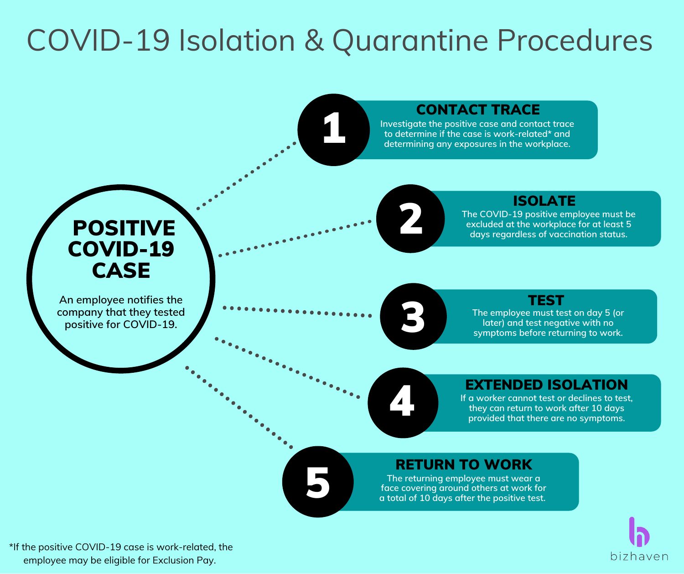# COVID-19 Isolation & Quarantine Procedures

# 1

5

## CONTACT TRACE

**Investigate the positive case and contact trace to determine if the case is work-related\* and determining any exposures in the workplace.**

## ISOLATE

**The COVID-19 positive employee must be excluded at the workplace for at least 5 days regardless of vaccination status.**

## POSITIVE COVID-19 CASE

**An employee notifies the company that they tested positive for COVID-19.**

# 3

2

#### **TEST**

**The employee must test on day 5 (or later) and test negative with no symptoms before returning to work.**

## EXTENDED ISOLATION

**If a worker cannot test or declines to test, they can return to work after <sup>10</sup> days** 4 **provided that there are no symptoms.**

## RETURN TO WORK

**The returning employee must wear a face covering around others at work for a total of 10 days after the positive test.**



\*If the positive COVID-19 case is work-related, the employee may be eligible for Exclusion Pay.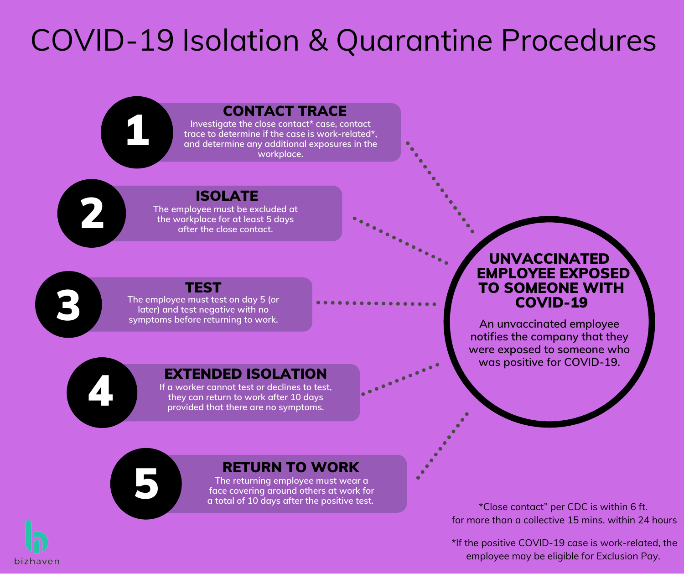# COVID-19 Isolation & Quarantine Procedures

**Branch** 

## CONTACT TRACE

**Investigate the close contact\* case, contact trace to determine if the case is work-related\*, and determine any additional exposures in the workplace.**

2

1

## ISOLATE

**The employee must be excluded at the workplace for at least 5 days after the close contact.**

3

## TEST

**The employee must test on day 5 (or later) and test negative with no symptoms before returning to work.**

### EXTENDED ISOLATION

**If a worker cannot test or declines to test, they** can **return** to work after 10 days<br>provided that there are no symptoms. **provided that there are no symptoms.**

#### UNVACCINATED EMPLOYEE EXPOSED TO SOMEONE WITH COVID-19

**An unvaccinated employee notifies the company that they were exposed to someone who was positive for COVID-19.**

5

## RETURN TO WORK

**The returning employee must wear a face covering around others at work for a total of 10 days after the positive test.**

\*Close contact" per CDC is within 6 ft. for more than a collective 15 mins. within 24 hours

\*If the positive COVID-19 case is work-related, the employee may be eligible for Exclusion Pay.